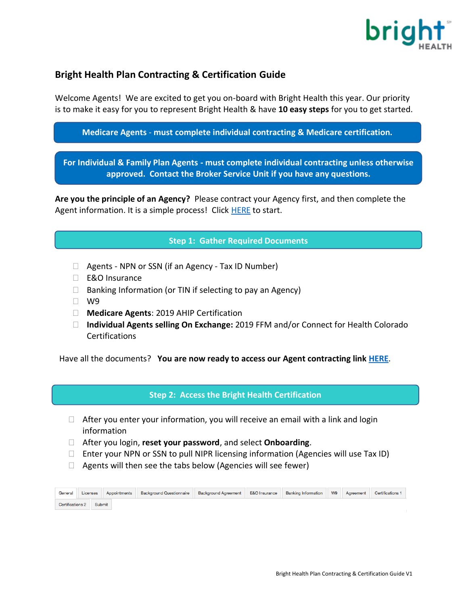

# **Bright Health Plan Contracting & Certification Guide**

Welcome Agents! We are excited to get you on-board with Bright Health this year. Our priority is to make it easy for you to represent Bright Health & have **10 easy steps** for you to get started.

**Medicare Agents** - **must complete individual contracting & Medicare certification.**

**For Individual & Family Plan Agents - must complete individual contracting unless otherwise approved. Contact the Broker Service Unit if you have any questions.**

**Are you the principle of an Agency?** Please contract your Agency first, and then complete the Agent information. It is a simple process! Click [HERE](https://social.webcomserver.com/wpm/caseEditPrepare.do?&token=0affGrBfkcfnwR5sFf4arFOeP7FADUCcUW%2FV9of4cbM%3D&tenantName=brhi) to start.

#### **Step 1: Gather Required Documents**

- □ Agents NPN or SSN (if an Agency Tax ID Number)
- □ E&O Insurance
- $\Box$  Banking Information (or TIN if selecting to pay an Agency)
- $\Box$  W9
- **Medicare Agents**: 2019 AHIP Certification
- **Individual Agents selling On Exchange:** 2019 FFM and/or Connect for Health Colorado Certifications

Have all the documents? **You are now ready to access our Agent contracting link [HERE](https://social.webcomserver.com/wpm/caseEditPrepare.do?&token=ho38c7t%2F5dSaLKh8cZ5hYCbkHiQPShOYA3QkA2v7%2Bok%3D&tenantName=brhi)**.

**Step 2: Access the Bright Health Certification**

- $\Box$  After you enter your information, you will receive an email with a link and login information
- After you login, **reset your password**, and select **Onboarding**.
- $\Box$  Enter your NPN or SSN to pull NIPR licensing information (Agencies will use Tax ID)
- $\Box$  Agents will then see the tabs below (Agencies will see fewer)

| General                 | Licenses | Appointments | <b>Background Questionnaire</b> | <b>Background Agreement</b> | <b>E&amp;O</b> Insurance | <b>Banking Information</b> | W9 | Agreement | Certifications 1 |
|-------------------------|----------|--------------|---------------------------------|-----------------------------|--------------------------|----------------------------|----|-----------|------------------|
| <b>Certifications 2</b> |          | Submit       |                                 |                             |                          |                            |    |           |                  |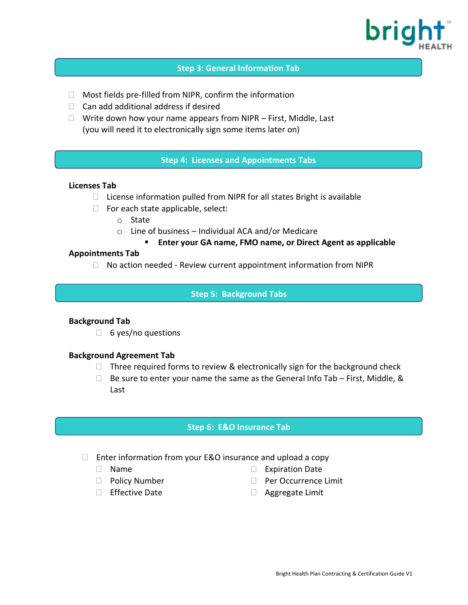

#### **Step 3: General Information Tab**

- Most fields pre-filled from NIPR, confirm the information
- $\Box$  Can add additional address if desired
- $\Box$  Write down how your name appears from NIPR First, Middle, Last (you will need it to electronically sign some items later on)

### **Step 4: Licenses and Appointments Tabs**

#### **Licenses Tab**

- $\Box$  License information pulled from NIPR for all states Bright is available
- $\Box$  For each state applicable, select:
	- o State
	- o Line of business Individual ACA and/or Medicare
		- **Enter your GA name, FMO name, or Direct Agent as applicable**

#### **Appointments Tab**

 $\Box$  No action needed - Review current appointment information from NIPR

### **Step 5: Background Tabs**

#### **Background Tab**

 $\Box$  6 yes/no questions

#### **Background Agreement Tab**

- $\Box$  Three required forms to review & electronically sign for the background check
- $\Box$  Be sure to enter your name the same as the General Info Tab First, Middle, & Last

#### **Step 6: E&O Insurance Tab**

- $\Box$  Enter information from your E&O insurance and upload a copy
	- Name
	- **Policy Number**
	- $\Box$  Effective Date
- □ Expiration Date
- □ Per Occurrence Limit
- Aggregate Limit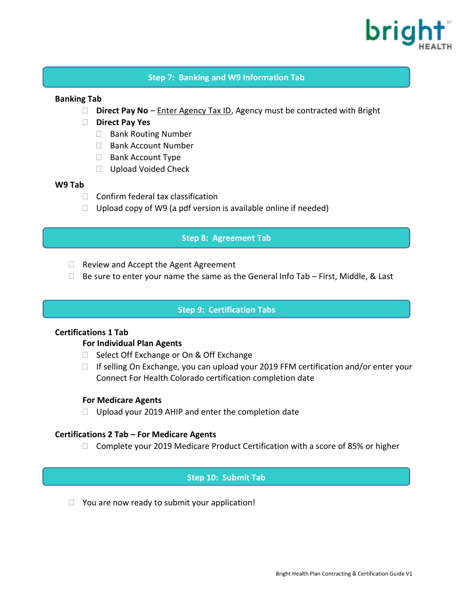

### **Step 7: Banking and W9 Information Tab**

### **Banking Tab**

- □ **Direct Pay No Enter Agency Tax ID, Agency must be contracted with Bright**
- **Direct Pay Yes**
	- □ Bank Routing Number
	- □ Bank Account Number
	- $\Box$  Bank Account Type
	- □ Upload Voided Check

#### **W9 Tab**

- $\Box$  Confirm federal tax classification
- $\Box$  Upload copy of W9 (a pdf version is available online if needed)

#### **Step 8: Agreement Tab**

- $\Box$  Review and Accept the Agent Agreement
- $\Box$  Be sure to enter your name the same as the General Info Tab First, Middle, & Last

### **Step 9: Certification Tabs**

### **Certifications 1 Tab**

#### **For Individual Plan Agents**

- $\Box$  Select Off Exchange or On & Off Exchange
- $\Box$  If selling On Exchange, you can upload your 2019 FFM certification and/or enter your Connect For Health Colorado certification completion date

#### **For Medicare Agents**

 $\Box$  Upload your 2019 AHIP and enter the completion date

#### **Certifications 2 Tab – For Medicare Agents**

 $\Box$  Complete your 2019 Medicare Product Certification with a score of 85% or higher

#### **Step 10: Submit Tab**

 $\Box$  You are now ready to submit your application!